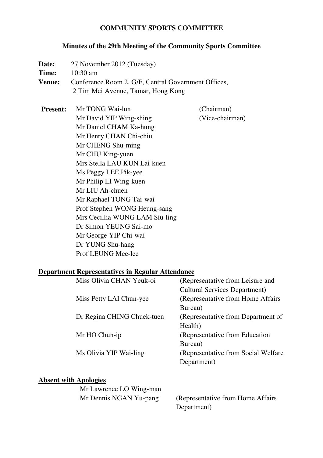#### **COMMUNITY SPORTS COMMITTEE**

#### **Minutes of the 29th Meeting of the Community Sports Committee**

Date: 27 November 2012 (Tuesday) **Time:** 10:30 am **Venue:** Conference Room 2, G/F, Central Government Offices, 2 Tim Mei Avenue, Tamar, Hong Kong **Present:** Mr TONG Wai-lun (Chairman) Mr David YIP Wing-shing (Vice-chairman) Mr Daniel CHAM Ka-hung Mr Henry CHAN Chi-chiu Mr CHENG Shu-ming Mr CHU King-yuen Mrs Stella LAU KUN Lai-kuen Ms Peggy LEE Pik-yee Mr Philip LI Wing-kuen Mr LIU Ah-chuen Mr Raphael TONG Tai-wai Prof Stephen WONG Heung-sang Mrs Cecillia WONG LAM Siu-ling Dr Simon YEUNG Sai-mo Mr George YIP Chi-wai Dr YUNG Shu-hang Prof LEUNG Mee-lee

#### **Department Representatives in Regular Attendance**

| Miss Olivia CHAN Yeuk-oi   | (Representative from Leisure and     |
|----------------------------|--------------------------------------|
|                            | <b>Cultural Services Department)</b> |
| Miss Petty LAI Chun-yee    | (Representative from Home Affairs)   |
|                            | Bureau)                              |
| Dr Regina CHING Chuek-tuen | (Representative from Department of   |
|                            | Health)                              |
| Mr HO Chun-ip              | (Representative from Education)      |
|                            | Bureau)                              |
| Ms Olivia YIP Wai-ling     | (Representative from Social Welfare) |
|                            | Department)                          |
|                            |                                      |

#### **Absent with Apologies**

| Mr Lawrence LO Wing-man |                                    |
|-------------------------|------------------------------------|
| Mr Dennis NGAN Yu-pang  | (Representative from Home Affairs) |
|                         | Department)                        |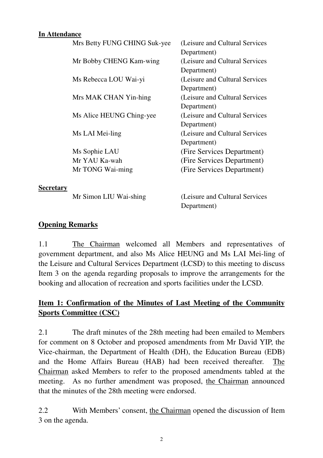#### **In Attendance**

|                  | Mrs Betty FUNG CHING Suk-yee | (Leisure and Cultural Services) |
|------------------|------------------------------|---------------------------------|
|                  |                              | Department)                     |
|                  | Mr Bobby CHENG Kam-wing      | (Leisure and Cultural Services) |
|                  |                              | Department)                     |
|                  | Ms Rebecca LOU Wai-yi        | (Leisure and Cultural Services) |
|                  |                              | Department)                     |
|                  | Mrs MAK CHAN Yin-hing        | (Leisure and Cultural Services) |
|                  |                              | Department)                     |
|                  | Ms Alice HEUNG Ching-yee     | (Leisure and Cultural Services) |
|                  |                              | Department)                     |
|                  | Ms LAI Mei-ling              | (Leisure and Cultural Services) |
|                  |                              | Department)                     |
|                  | Ms Sophie LAU                | (Fire Services Department)      |
|                  | Mr YAU Ka-wah                | (Fire Services Department)      |
|                  | Mr TONG Wai-ming             | (Fire Services Department)      |
|                  |                              |                                 |
| <b>Secretary</b> |                              |                                 |
|                  | Mr Simon LIU Wai-shing       | (Leisure and Cultural Services) |
|                  |                              | Department)                     |

#### **Opening Remarks**

1.1 The Chairman welcomed all Members and representatives of government department, and also Ms Alice HEUNG and Ms LAI Mei-ling of the Leisure and Cultural Services Department (LCSD) to this meeting to discuss Item 3 on the agenda regarding proposals to improve the arrangements for the booking and allocation of recreation and sports facilities under the LCSD.

# **Item 1: Confirmation of the Minutes of Last Meeting of the Community Sports Committee (CSC)**

2.1 The draft minutes of the 28th meeting had been emailed to Members for comment on 8 October and proposed amendments from Mr David YIP, the Vice-chairman, the Department of Health (DH), the Education Bureau (EDB) and the Home Affairs Bureau (HAB) had been received thereafter. The Chairman asked Members to refer to the proposed amendments tabled at the meeting. As no further amendment was proposed, the Chairman announced that the minutes of the 28th meeting were endorsed.

2.2 With Members' consent, the Chairman opened the discussion of Item 3 on the agenda.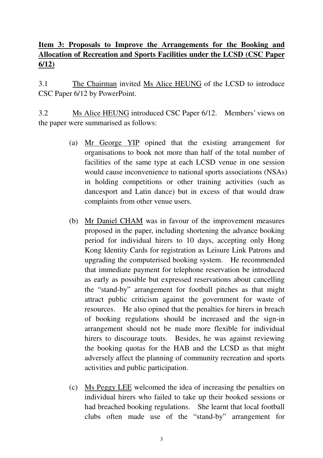# **Item 3: Proposals to Improve the Arrangements for the Booking and Allocation of Recreation and Sports Facilities under the LCSD (CSC Paper 6/12)**

3.1 The Chairman invited Ms Alice HEUNG of the LCSD to introduce CSC Paper 6/12 by PowerPoint.

3.2 Ms Alice HEUNG introduced CSC Paper 6/12. Members' views on the paper were summarised as follows:

- (a) Mr George YIP opined that the existing arrangement for organisations to book not more than half of the total number of facilities of the same type at each LCSD venue in one session would cause inconvenience to national sports associations (NSAs) in holding competitions or other training activities (such as dancesport and Latin dance) but in excess of that would draw complaints from other venue users.
- (b) Mr Daniel CHAM was in favour of the improvement measures proposed in the paper, including shortening the advance booking period for individual hirers to 10 days, accepting only Hong Kong Identity Cards for registration as Leisure Link Patrons and upgrading the computerised booking system. He recommended that immediate payment for telephone reservation be introduced as early as possible but expressed reservations about cancelling the "stand-by" arrangement for football pitches as that might attract public criticism against the government for waste of resources. He also opined that the penalties for hirers in breach of booking regulations should be increased and the sign-in arrangement should not be made more flexible for individual hirers to discourage touts. Besides, he was against reviewing the booking quotas for the HAB and the LCSD as that might adversely affect the planning of community recreation and sports activities and public participation.
- (c) Ms Peggy LEE welcomed the idea of increasing the penalties on individual hirers who failed to take up their booked sessions or had breached booking regulations. She learnt that local football clubs often made use of the "stand-by" arrangement for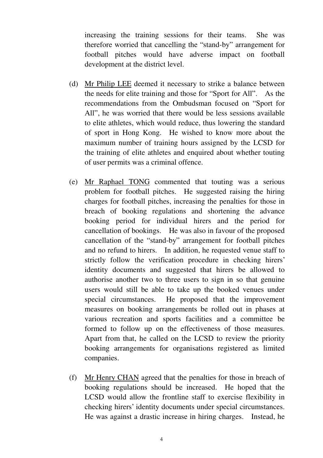increasing the training sessions for their teams. She was therefore worried that cancelling the "stand-by" arrangement for football pitches would have adverse impact on football development at the district level.

- (d) Mr Philip LEE deemed it necessary to strike a balance between the needs for elite training and those for "Sport for All". As the recommendations from the Ombudsman focused on "Sport for All", he was worried that there would be less sessions available to elite athletes, which would reduce, thus lowering the standard of sport in Hong Kong. He wished to know more about the maximum number of training hours assigned by the LCSD for the training of elite athletes and enquired about whether touting of user permits was a criminal offence.
- (e) Mr Raphael TONG commented that touting was a serious problem for football pitches. He suggested raising the hiring charges for football pitches, increasing the penalties for those in breach of booking regulations and shortening the advance booking period for individual hirers and the period for cancellation of bookings. He was also in favour of the proposed cancellation of the "stand-by" arrangement for football pitches and no refund to hirers. In addition, he requested venue staff to strictly follow the verification procedure in checking hirers' identity documents and suggested that hirers be allowed to authorise another two to three users to sign in so that genuine users would still be able to take up the booked venues under special circumstances. He proposed that the improvement measures on booking arrangements be rolled out in phases at various recreation and sports facilities and a committee be formed to follow up on the effectiveness of those measures. Apart from that, he called on the LCSD to review the priority booking arrangements for organisations registered as limited companies.
- (f) Mr Henry CHAN agreed that the penalties for those in breach of booking regulations should be increased. He hoped that the LCSD would allow the frontline staff to exercise flexibility in checking hirers' identity documents under special circumstances. He was against a drastic increase in hiring charges. Instead, he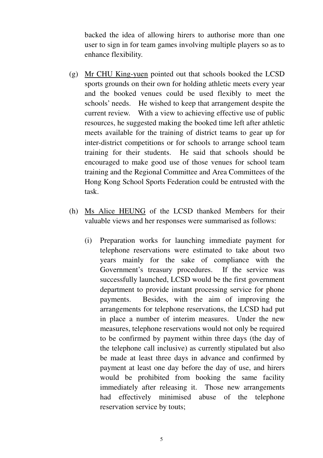backed the idea of allowing hirers to authorise more than one user to sign in for team games involving multiple players so as to enhance flexibility.

- (g) Mr CHU King-yuen pointed out that schools booked the LCSD sports grounds on their own for holding athletic meets every year and the booked venues could be used flexibly to meet the schools' needs. He wished to keep that arrangement despite the current review. With a view to achieving effective use of public resources, he suggested making the booked time left after athletic meets available for the training of district teams to gear up for inter-district competitions or for schools to arrange school team training for their students. He said that schools should be encouraged to make good use of those venues for school team training and the Regional Committee and Area Committees of the Hong Kong School Sports Federation could be entrusted with the task.
- (h) Ms Alice HEUNG of the LCSD thanked Members for their valuable views and her responses were summarised as follows:
	- (i) Preparation works for launching immediate payment for telephone reservations were estimated to take about two years mainly for the sake of compliance with the Government's treasury procedures. If the service was successfully launched, LCSD would be the first government department to provide instant processing service for phone payments. Besides, with the aim of improving the arrangements for telephone reservations, the LCSD had put in place a number of interim measures. Under the new measures, telephone reservations would not only be required to be confirmed by payment within three days (the day of the telephone call inclusive) as currently stipulated but also be made at least three days in advance and confirmed by payment at least one day before the day of use, and hirers would be prohibited from booking the same facility immediately after releasing it. Those new arrangements had effectively minimised abuse of the telephone reservation service by touts;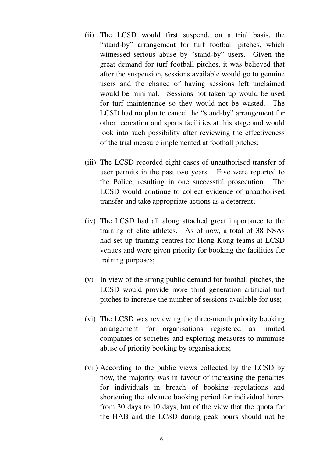- (ii) The LCSD would first suspend, on a trial basis, the "stand-by" arrangement for turf football pitches, which witnessed serious abuse by "stand-by" users. Given the great demand for turf football pitches, it was believed that after the suspension, sessions available would go to genuine users and the chance of having sessions left unclaimed would be minimal. Sessions not taken up would be used for turf maintenance so they would not be wasted. The LCSD had no plan to cancel the "stand-by" arrangement for other recreation and sports facilities at this stage and would look into such possibility after reviewing the effectiveness of the trial measure implemented at football pitches;
- (iii) The LCSD recorded eight cases of unauthorised transfer of user permits in the past two years. Five were reported to the Police, resulting in one successful prosecution. The LCSD would continue to collect evidence of unauthorised transfer and take appropriate actions as a deterrent;
- (iv) The LCSD had all along attached great importance to the training of elite athletes. As of now, a total of 38 NSAs had set up training centres for Hong Kong teams at LCSD venues and were given priority for booking the facilities for training purposes;
- (v) In view of the strong public demand for football pitches, the LCSD would provide more third generation artificial turf pitches to increase the number of sessions available for use;
- (vi) The LCSD was reviewing the three-month priority booking arrangement for organisations registered as limited companies or societies and exploring measures to minimise abuse of priority booking by organisations;
- (vii) According to the public views collected by the LCSD by now, the majority was in favour of increasing the penalties for individuals in breach of booking regulations and shortening the advance booking period for individual hirers from 30 days to 10 days, but of the view that the quota for the HAB and the LCSD during peak hours should not be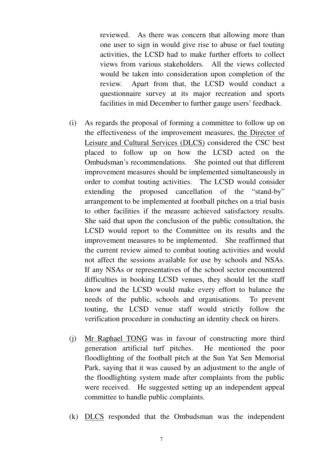reviewed. As there was concern that allowing more than one user to sign in would give rise to abuse or fuel touting activities, the LCSD had to make further efforts to collect views from various stakeholders. All the views collected would be taken into consideration upon completion of the review. Apart from that, the LCSD would conduct a questionnaire survey at its major recreation and sports facilities in mid December to further gauge users' feedback.

- (i) As regards the proposal of forming a committee to follow up on the effectiveness of the improvement measures, the Director of Leisure and Cultural Services (DLCS) considered the CSC best placed to follow up on how the LCSD acted on the Ombudsman's recommendations. She pointed out that different improvement measures should be implemented simultaneously in order to combat touting activities. The LCSD would consider extending the proposed cancellation of the "stand-by" arrangement to be implemented at football pitches on a trial basis to other facilities if the measure achieved satisfactory results. She said that upon the conclusion of the public consultation, the LCSD would report to the Committee on its results and the improvement measures to be implemented. She reaffirmed that the current review aimed to combat touting activities and would not affect the sessions available for use by schools and NSAs. If any NSAs or representatives of the school sector encountered difficulties in booking LCSD venues, they should let the staff know and the LCSD would make every effort to balance the needs of the public, schools and organisations. To prevent touting, the LCSD venue staff would strictly follow the verification procedure in conducting an identity check on hirers.
- (j) Mr Raphael TONG was in favour of constructing more third generation artificial turf pitches. He mentioned the poor floodlighting of the football pitch at the Sun Yat Sen Memorial Park, saying that it was caused by an adjustment to the angle of the floodlighting system made after complaints from the public were received. He suggested setting up an independent appeal committee to handle public complaints.
- (k) DLCS responded that the Ombudsman was the independent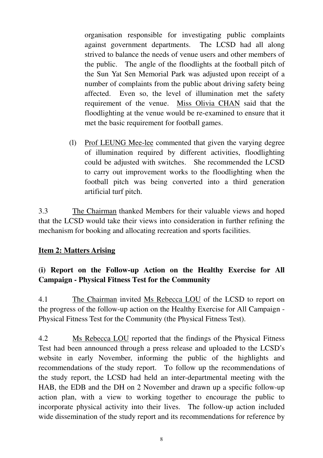organisation responsible for investigating public complaints against government departments. The LCSD had all along strived to balance the needs of venue users and other members of the public. The angle of the floodlights at the football pitch of the Sun Yat Sen Memorial Park was adjusted upon receipt of a number of complaints from the public about driving safety being affected. Even so, the level of illumination met the safety requirement of the venue. Miss Olivia CHAN said that the floodlighting at the venue would be re-examined to ensure that it met the basic requirement for football games.

(l) Prof LEUNG Mee-lee commented that given the varying degree of illumination required by different activities, floodlighting could be adjusted with switches. She recommended the LCSD to carry out improvement works to the floodlighting when the football pitch was being converted into a third generation artificial turf pitch.

3.3 The Chairman thanked Members for their valuable views and hoped that the LCSD would take their views into consideration in further refining the mechanism for booking and allocating recreation and sports facilities.

## **Item 2: Matters Arising**

# **(i) Report on the Follow-up Action on the Healthy Exercise for All Campaign - Physical Fitness Test for the Community**

4.1 The Chairman invited Ms Rebecca LOU of the LCSD to report on the progress of the follow-up action on the Healthy Exercise for All Campaign - Physical Fitness Test for the Community (the Physical Fitness Test).

4.2 Ms Rebecca LOU reported that the findings of the Physical Fitness Test had been announced through a press release and uploaded to the LCSD's website in early November, informing the public of the highlights and recommendations of the study report. To follow up the recommendations of the study report, the LCSD had held an inter-departmental meeting with the HAB, the EDB and the DH on 2 November and drawn up a specific follow-up action plan, with a view to working together to encourage the public to incorporate physical activity into their lives. The follow-up action included wide dissemination of the study report and its recommendations for reference by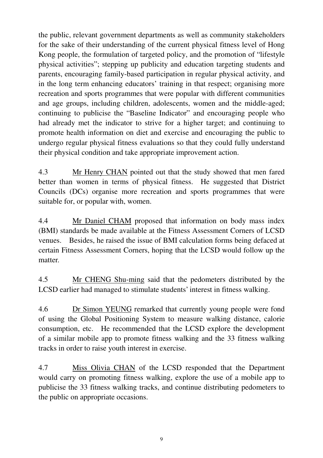the public, relevant government departments as well as community stakeholders for the sake of their understanding of the current physical fitness level of Hong Kong people, the formulation of targeted policy, and the promotion of "lifestyle physical activities"; stepping up publicity and education targeting students and parents, encouraging family-based participation in regular physical activity, and in the long term enhancing educators' training in that respect; organising more recreation and sports programmes that were popular with different communities and age groups, including children, adolescents, women and the middle-aged; continuing to publicise the "Baseline Indicator" and encouraging people who had already met the indicator to strive for a higher target; and continuing to promote health information on diet and exercise and encouraging the public to undergo regular physical fitness evaluations so that they could fully understand their physical condition and take appropriate improvement action.

4.3 Mr Henry CHAN pointed out that the study showed that men fared better than women in terms of physical fitness. He suggested that District Councils (DCs) organise more recreation and sports programmes that were suitable for, or popular with, women.

4.4 Mr Daniel CHAM proposed that information on body mass index (BMI) standards be made available at the Fitness Assessment Corners of LCSD venues. Besides, he raised the issue of BMI calculation forms being defaced at certain Fitness Assessment Corners, hoping that the LCSD would follow up the matter.

4.5 Mr CHENG Shu-ming said that the pedometers distributed by the LCSD earlier had managed to stimulate students' interest in fitness walking.

4.6 Dr Simon YEUNG remarked that currently young people were fond of using the Global Positioning System to measure walking distance, calorie consumption, etc. He recommended that the LCSD explore the development of a similar mobile app to promote fitness walking and the 33 fitness walking tracks in order to raise youth interest in exercise.

4.7 Miss Olivia CHAN of the LCSD responded that the Department would carry on promoting fitness walking, explore the use of a mobile app to publicise the 33 fitness walking tracks, and continue distributing pedometers to the public on appropriate occasions.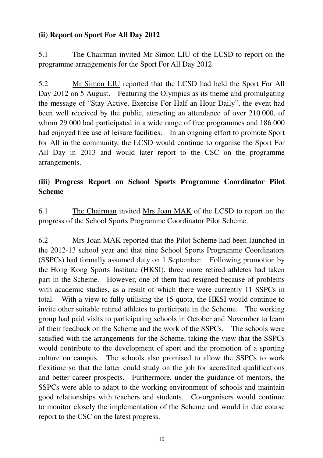### **(ii) Report on Sport For All Day 2012**

5.1 The Chairman invited Mr Simon LIU of the LCSD to report on the programme arrangements for the Sport For All Day 2012.

5.2 Mr Simon LIU reported that the LCSD had held the Sport For All Day 2012 on 5 August. Featuring the Olympics as its theme and promulgating the message of "Stay Active. Exercise For Half an Hour Daily", the event had been well received by the public, attracting an attendance of over 210 000, of whom 29 000 had participated in a wide range of free programmes and 186 000 had enjoyed free use of leisure facilities. In an ongoing effort to promote Sport for All in the community, the LCSD would continue to organise the Sport For All Day in 2013 and would later report to the CSC on the programme arrangements.

## **(iii) Progress Report on School Sports Programme Coordinator Pilot Scheme**

6.1 The Chairman invited Mrs Joan MAK of the LCSD to report on the progress of the School Sports Programme Coordinator Pilot Scheme.

6.2 Mrs Joan MAK reported that the Pilot Scheme had been launched in the 2012-13 school year and that nine School Sports Programme Coordinators (SSPCs) had formally assumed duty on 1 September. Following promotion by the Hong Kong Sports Institute (HKSI), three more retired athletes had taken part in the Scheme. However, one of them had resigned because of problems with academic studies, as a result of which there were currently 11 SSPCs in total. With a view to fully utilising the 15 quota, the HKSI would continue to invite other suitable retired athletes to participate in the Scheme. The working group had paid visits to participating schools in October and November to learn of their feedback on the Scheme and the work of the SSPCs. The schools were satisfied with the arrangements for the Scheme, taking the view that the SSPCs would contribute to the development of sport and the promotion of a sporting culture on campus. The schools also promised to allow the SSPCs to work flexitime so that the latter could study on the job for accredited qualifications and better career prospects. Furthermore, under the guidance of mentors, the SSPCs were able to adapt to the working environment of schools and maintain good relationships with teachers and students. Co-organisers would continue to monitor closely the implementation of the Scheme and would in due course report to the CSC on the latest progress.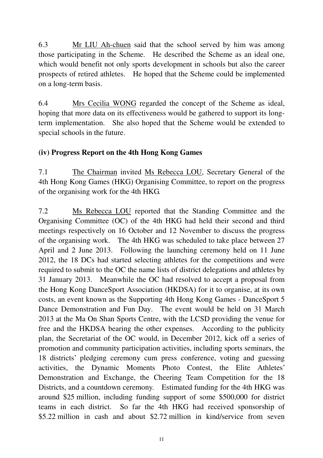6.3 Mr LIU Ah-chuen said that the school served by him was among those participating in the Scheme. He described the Scheme as an ideal one, which would benefit not only sports development in schools but also the career prospects of retired athletes. He hoped that the Scheme could be implemented on a long-term basis.

6.4 Mrs Cecilia WONG regarded the concept of the Scheme as ideal, hoping that more data on its effectiveness would be gathered to support its longterm implementation. She also hoped that the Scheme would be extended to special schools in the future.

### **(iv) Progress Report on the 4th Hong Kong Games**

7.1 The Chairman invited Ms Rebecca LOU, Secretary General of the 4th Hong Kong Games (HKG) Organising Committee, to report on the progress of the organising work for the 4th HKG.

7.2 Ms Rebecca LOU reported that the Standing Committee and the Organising Committee (OC) of the 4th HKG had held their second and third meetings respectively on 16 October and 12 November to discuss the progress of the organising work. The 4th HKG was scheduled to take place between 27 April and 2 June 2013. Following the launching ceremony held on 11 June 2012, the 18 DCs had started selecting athletes for the competitions and were required to submit to the OC the name lists of district delegations and athletes by 31 January 2013. Meanwhile the OC had resolved to accept a proposal from the Hong Kong DanceSport Association (HKDSA) for it to organise, at its own costs, an event known as the Supporting 4th Hong Kong Games - DanceSport 5 Dance Demonstration and Fun Day. The event would be held on 31 March 2013 at the Ma On Shan Sports Centre, with the LCSD providing the venue for free and the HKDSA bearing the other expenses. According to the publicity plan, the Secretariat of the OC would, in December 2012, kick off a series of promotion and community participation activities, including sports seminars, the 18 districts' pledging ceremony cum press conference, voting and guessing activities, the Dynamic Moments Photo Contest, the Elite Athletes' Demonstration and Exchange, the Cheering Team Competition for the 18 Districts, and a countdown ceremony. Estimated funding for the 4th HKG was around \$25 million, including funding support of some \$500,000 for district teams in each district. So far the 4th HKG had received sponsorship of \$5.22 million in cash and about \$2.72 million in kind/service from seven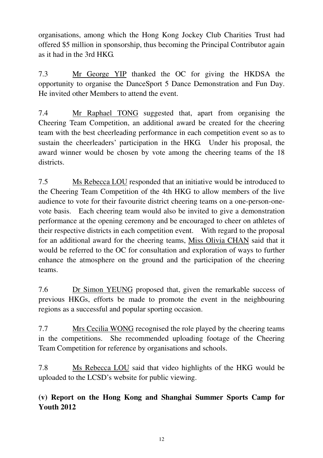organisations, among which the Hong Kong Jockey Club Charities Trust had offered \$5 million in sponsorship, thus becoming the Principal Contributor again as it had in the 3rd HKG.

7.3 Mr George YIP thanked the OC for giving the HKDSA the opportunity to organise the DanceSport 5 Dance Demonstration and Fun Day. He invited other Members to attend the event.

7.4 Mr Raphael TONG suggested that, apart from organising the Cheering Team Competition, an additional award be created for the cheering team with the best cheerleading performance in each competition event so as to sustain the cheerleaders' participation in the HKG. Under his proposal, the award winner would be chosen by vote among the cheering teams of the 18 districts.

7.5 Ms Rebecca LOU responded that an initiative would be introduced to the Cheering Team Competition of the 4th HKG to allow members of the live audience to vote for their favourite district cheering teams on a one-person-onevote basis. Each cheering team would also be invited to give a demonstration performance at the opening ceremony and be encouraged to cheer on athletes of their respective districts in each competition event. With regard to the proposal for an additional award for the cheering teams, Miss Olivia CHAN said that it would be referred to the OC for consultation and exploration of ways to further enhance the atmosphere on the ground and the participation of the cheering teams.

7.6 Dr Simon YEUNG proposed that, given the remarkable success of previous HKGs, efforts be made to promote the event in the neighbouring regions as a successful and popular sporting occasion.

7.7 Mrs Cecilia WONG recognised the role played by the cheering teams in the competitions. She recommended uploading footage of the Cheering Team Competition for reference by organisations and schools.

7.8 Ms Rebecca LOU said that video highlights of the HKG would be uploaded to the LCSD's website for public viewing.

**(v) Report on the Hong Kong and Shanghai Summer Sports Camp for Youth 2012**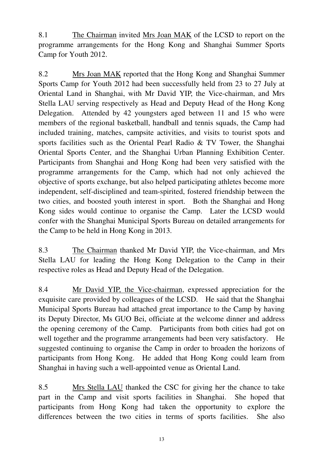8.1 The Chairman invited Mrs Joan MAK of the LCSD to report on the programme arrangements for the Hong Kong and Shanghai Summer Sports Camp for Youth 2012.

8.2 Mrs Joan MAK reported that the Hong Kong and Shanghai Summer Sports Camp for Youth 2012 had been successfully held from 23 to 27 July at Oriental Land in Shanghai, with Mr David YIP, the Vice-chairman, and Mrs Stella LAU serving respectively as Head and Deputy Head of the Hong Kong Delegation. Attended by 42 youngsters aged between 11 and 15 who were members of the regional basketball, handball and tennis squads, the Camp had included training, matches, campsite activities, and visits to tourist spots and sports facilities such as the Oriental Pearl Radio & TV Tower, the Shanghai Oriental Sports Center, and the Shanghai Urban Planning Exhibition Center. Participants from Shanghai and Hong Kong had been very satisfied with the programme arrangements for the Camp, which had not only achieved the objective of sports exchange, but also helped participating athletes become more independent, self-disciplined and team-spirited, fostered friendship between the two cities, and boosted youth interest in sport. Both the Shanghai and Hong Kong sides would continue to organise the Camp. Later the LCSD would confer with the Shanghai Municipal Sports Bureau on detailed arrangements for the Camp to be held in Hong Kong in 2013.

8.3 The Chairman thanked Mr David YIP, the Vice-chairman, and Mrs Stella LAU for leading the Hong Kong Delegation to the Camp in their respective roles as Head and Deputy Head of the Delegation.

8.4 Mr David YIP, the Vice-chairman, expressed appreciation for the exquisite care provided by colleagues of the LCSD. He said that the Shanghai Municipal Sports Bureau had attached great importance to the Camp by having its Deputy Director, Ms GUO Bei, officiate at the welcome dinner and address the opening ceremony of the Camp. Participants from both cities had got on well together and the programme arrangements had been very satisfactory. He suggested continuing to organise the Camp in order to broaden the horizons of participants from Hong Kong. He added that Hong Kong could learn from Shanghai in having such a well-appointed venue as Oriental Land.

8.5 Mrs Stella LAU thanked the CSC for giving her the chance to take part in the Camp and visit sports facilities in Shanghai. She hoped that participants from Hong Kong had taken the opportunity to explore the differences between the two cities in terms of sports facilities. She also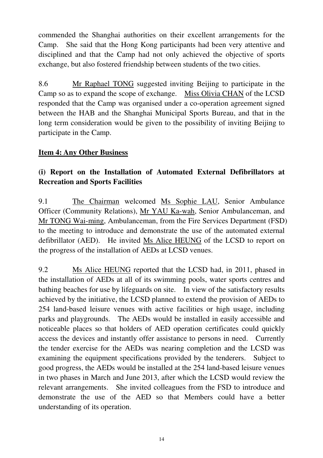commended the Shanghai authorities on their excellent arrangements for the Camp. She said that the Hong Kong participants had been very attentive and disciplined and that the Camp had not only achieved the objective of sports exchange, but also fostered friendship between students of the two cities.

8.6 Mr Raphael TONG suggested inviting Beijing to participate in the Camp so as to expand the scope of exchange. Miss Olivia CHAN of the LCSD responded that the Camp was organised under a co-operation agreement signed between the HAB and the Shanghai Municipal Sports Bureau, and that in the long term consideration would be given to the possibility of inviting Beijing to participate in the Camp.

### **Item 4: Any Other Business**

# **(i) Report on the Installation of Automated External Defibrillators at Recreation and Sports Facilities**

9.1 The Chairman welcomed Ms Sophie LAU, Senior Ambulance Officer (Community Relations), Mr YAU Ka-wah, Senior Ambulanceman, and Mr TONG Wai-ming, Ambulanceman, from the Fire Services Department (FSD) to the meeting to introduce and demonstrate the use of the automated external defibrillator (AED). He invited Ms Alice HEUNG of the LCSD to report on the progress of the installation of AEDs at LCSD venues.

9.2 Ms Alice HEUNG reported that the LCSD had, in 2011, phased in the installation of AEDs at all of its swimming pools, water sports centres and bathing beaches for use by lifeguards on site. In view of the satisfactory results achieved by the initiative, the LCSD planned to extend the provision of AEDs to 254 land-based leisure venues with active facilities or high usage, including parks and playgrounds. The AEDs would be installed in easily accessible and noticeable places so that holders of AED operation certificates could quickly access the devices and instantly offer assistance to persons in need. Currently the tender exercise for the AEDs was nearing completion and the LCSD was examining the equipment specifications provided by the tenderers. Subject to good progress, the AEDs would be installed at the 254 land-based leisure venues in two phases in March and June 2013, after which the LCSD would review the relevant arrangements. She invited colleagues from the FSD to introduce and demonstrate the use of the AED so that Members could have a better understanding of its operation.